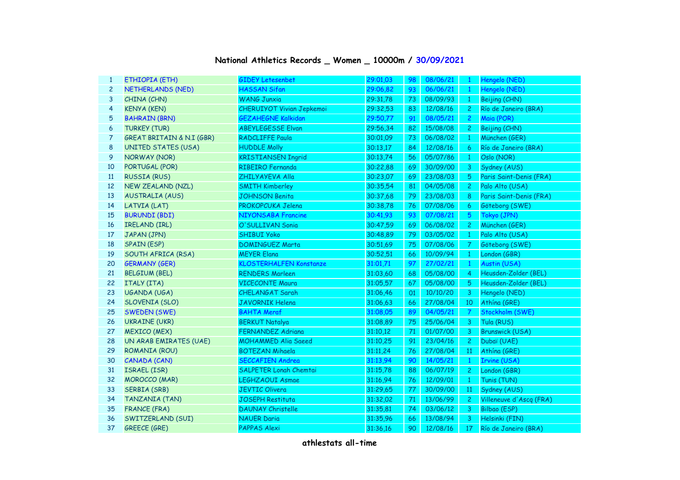## **National Athletics Records \_ Women \_ 10000m / 30/09/2021**

| $\mathbf{1}$   | ETHIOPIA (ETH)             | <b>GIDEY Letesenbet</b>          | 29:01,03 | 98 | 08/06/21 | $\mathbf{1}$   | Hengelo (NED)           |
|----------------|----------------------------|----------------------------------|----------|----|----------|----------------|-------------------------|
| $\overline{c}$ | NETHERLANDS (NED)          | <b>HASSAN Sifan</b>              | 29:06,82 | 93 | 06/06/21 | $\mathbf{1}$   | Hengelo (NED)           |
| 3              | CHINA (CHN)                | <b>WANG Junxia</b>               | 29:31,78 | 73 | 08/09/93 | $\mathbf{1}$   | Beijing (CHN)           |
| $\overline{4}$ | <b>KENYA (KEN)</b>         | <b>CHERUIYOT Vivian Jepkemoi</b> | 29:32,53 | 83 | 12/08/16 | $\overline{c}$ | Río de Janeiro (BRA)    |
| 5              | <b>BAHRAIN (BRN)</b>       | <b>GEZAHEGNE Kalkidan</b>        | 29:50,77 | 91 | 08/05/21 | $\overline{2}$ | Maia (POR)              |
| 6              | <b>TURKEY (TUR)</b>        | <b>ABEYLEGESSE Elvan</b>         | 29:56,34 | 82 | 15/08/08 | $\overline{c}$ | Beijing (CHN)           |
| 7              | GREAT BRITAIN & N.I (GBR)  | <b>RADCLIFFE Paula</b>           | 30:01,09 | 73 | 06/08/02 | $\mathbf{1}$   | München (GER)           |
| 8              | <b>UNITED STATES (USA)</b> | <b>HUDDLE Molly</b>              | 30:13,17 | 84 | 12/08/16 | 6              | Río de Janeiro (BRA)    |
| 9              | NORWAY (NOR)               | <b>KRISTIANSEN Ingrid</b>        | 30:13,74 | 56 | 05/07/86 | $\mathbf{1}$   | Oslo (NOR)              |
| 10             | PORTUGAL (POR)             | <b>RIBEIRO Fernanda</b>          | 30:22,88 | 69 | 30/09/00 | 3              | Sydney (AUS)            |
| 11             | <b>RUSSIA (RUS)</b>        | ZHILYAYEVA Alla                  | 30:23,07 | 69 | 23/08/03 | 5              | Paris Saint-Denis (FRA) |
| 12             | <b>NEW ZEALAND (NZL)</b>   | <b>SMITH Kimberley</b>           | 30:35,54 | 81 | 04/05/08 | $\overline{c}$ | Palo Alto (USA)         |
| 13             | <b>AUSTRALIA (AUS)</b>     | <b>JOHNSON Benita</b>            | 30:37,68 | 79 | 23/08/03 | 8              | Paris Saint-Denis (FRA) |
| 14             | LATVIA (LAT)               | PROKOPCUKA Jelena                | 30:38,78 | 76 | 07/08/06 | 6              | Göteborg (SWE)          |
| 15             | <b>BURUNDI (BDI)</b>       | NIYONSABA Francine               | 30:41,93 | 93 | 07/08/21 | 5              | Tokyo (JPN)             |
| 16             | IRELAND (IRL)              | O'SULLIVAN Sonia                 | 30:47,59 | 69 | 06/08/02 | $\overline{c}$ | München (GER)           |
| 17             | JAPAN (JPN)                | <b>SHIBUI Yoko</b>               | 30:48,89 | 79 | 03/05/02 | $\mathbf{1}$   | Palo Alto (USA)         |
| 18             | <b>SPAIN (ESP)</b>         | <b>DOMINGUEZ Marta</b>           | 30:51,69 | 75 | 07/08/06 | 7              | Göteborg (SWE)          |
| 19             | SOUTH AFRICA (RSA)         | <b>MEYER Elana</b>               | 30:52,51 | 66 | 10/09/94 | $\mathbf{1}$   | London (GBR)            |
| 20             | <b>GERMANY (GER)</b>       | <b>KLOSTERHALFEN Konstanze</b>   | 31:01,71 | 97 | 27/02/21 | $\mathbf{1}$   | Austin (USA)            |
| 21             | <b>BELGIUM (BEL)</b>       | <b>RENDERS Marleen</b>           | 31:03,60 | 68 | 05/08/00 | 4              | Heusden-Zolder (BEL)    |
| 22             | ITALY (ITA)                | <b>VICECONTE Maura</b>           | 31:05,57 | 67 | 05/08/00 | 5              | Heusden-Zolder (BEL)    |
| 23             | UGANDA (UGA)               | CHELANGAT Sarah                  | 31:06,46 | 01 | 10/10/20 | 3              | Hengelo (NED)           |
| 24             | SLOVENIA (SLO)             | <b>JAVORNIK Helena</b>           | 31:06,63 | 66 | 27/08/04 | 10             | Athína (GRE)            |
| 25             | <b>SWEDEN (SWE)</b>        | <b>BAHTA Meraf</b>               | 31:08,05 | 89 | 04/05/21 | $\overline{7}$ | Stockholm (SWE)         |
| 26             | <b>UKRAINE (UKR)</b>       | <b>BERKUT Natalya</b>            | 31:08,89 | 75 | 25/06/04 | $\mathbf{3}$   | Tula (RUS)              |
| 27             | <b>MEXICO (MEX)</b>        | <b>FERNANDEZ Adriana</b>         | 31:10,12 | 71 | 01/07/00 | 3              | <b>Brunswick (USA)</b>  |
| 28             | UN ARAB EMIRATES (UAE)     | <b>MOHAMMED Alia Saeed</b>       | 31:10,25 | 91 | 23/04/16 | 2 <sup>1</sup> | Dubaï (UAE)             |
| 29             | ROMANIA (ROU)              | <b>BOTEZAN Mihaela</b>           | 31:11,24 | 76 | 27/08/04 | 11             | Athína (GRE)            |
| 30             | CANADA (CAN)               | <b>SECCAFIEN Andrea</b>          | 31:13,94 | 90 | 14/05/21 | $\mathbf{1}$   | Irvine (USA)            |
| 31             | ISRAEL (ISR)               | <b>SALPETER Lonah Chemtai</b>    | 31:15,78 | 88 | 06/07/19 | $\mathbf{2}$   | London (GBR)            |
| 32             | <b>MOROCCO (MAR)</b>       | <b>LEGHZAOUI Asmae</b>           | 31:16,94 | 76 | 12/09/01 | $\mathbf{1}$   | Tunis (TUN)             |
| 33             | <b>SERBIA (SRB)</b>        | <b>JEVTIC Olivera</b>            | 31:29,65 | 77 | 30/09/00 | <b>11</b>      | Sydney (AUS)            |
| 34             | TANZANIA (TAN)             | JOSEPH Restituta                 | 31:32,02 | 71 | 13/06/99 | $\mathbf{2}$   | Villeneuve d'Ascq (FRA) |
| 35             | <b>FRANCE (FRA)</b>        | <b>DAUNAY Christelle</b>         | 31:35,81 | 74 | 03/06/12 | 3              | Bilbao (ESP)            |
| 36             | SWITZERLAND (SUI)          | <b>NAUER Daria</b>               | 31:35,96 | 66 | 13/08/94 | 3              | Helsinki (FIN)          |
| 37             | <b>GREECE (GRE)</b>        | PAPPAS Alexi                     | 31:36,16 | 90 | 12/08/16 | 17             | Río de Janeiro (BRA)    |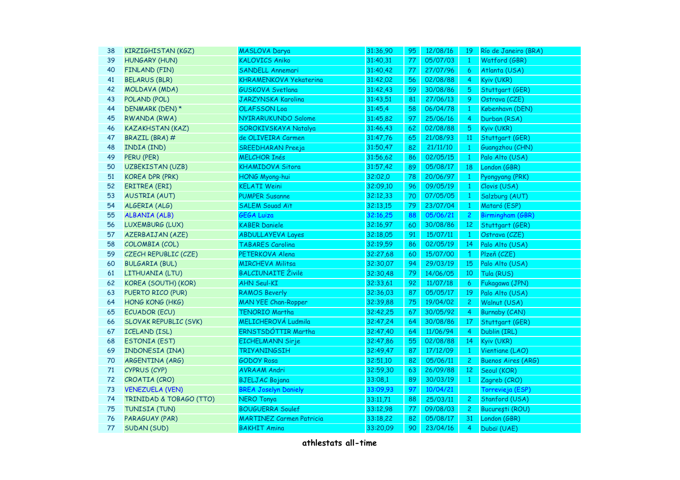| 38     | <b>KIRZIGHISTAN (KGZ)</b>    | MASLOVA Darya                   | 31:36,90 | 95  | 12/08/16 | 19                   | Río de Janeiro (BRA)      |
|--------|------------------------------|---------------------------------|----------|-----|----------|----------------------|---------------------------|
| 39     | <b>HUNGARY (HUN)</b>         | <b>KALOVICS Aniko</b>           | 31:40,31 | 77. | 05/07/03 | $\mathbf{1}$         | Watford (GBR)             |
| 40     | FINLAND (FIN)                | SANDELL Annemari                | 31:40,42 | 77  | 27/07/96 | 6                    | Atlanta (USA)             |
| 41     | <b>BELARUS (BLR)</b>         | <b>KHRAMENKOVA Yekaterina</b>   | 31:42,02 | 56  | 02/08/88 | 4                    | Kyiv (UKR)                |
| 42     | MOLDAVA (MDA)                | <b>GUSKOVA Svetlana</b>         | 31:42,43 | 59  | 30/08/86 | 5                    | Stuttgart (GER)           |
| 43     | POLAND (POL)                 | JARZYNSKA Karolina              | 31:43,51 | 81  | 27/06/13 | 9                    | Ostrava (CZE)             |
| 44     | DENMARK (DEN) *              | OLAFSSON Loa                    | 31:45,4  | 58  | 06/04/78 | 1                    | København (DEN)           |
| 45     | RWANDA (RWA)                 | NYIRARUKUNDO Salome             | 31:45,82 | 97  | 25/06/16 | $\overline{4}$       | Durban (RSA)              |
| 46     | <b>KAZAKHSTAN (KAZ)</b>      | SOROKIVSKAYA Natalya            | 31:46,43 | 62  | 02/08/88 | $\sqrt{5}$           | Kyiv (UKR)                |
| 47     | BRAZIL (BRA) #               | de OLIVEIRA Carmen              | 31:47,76 | 65  | 21/08/93 | <b>11</b>            | Stuttgart (GER)           |
| 48     | INDIA (IND)                  | <b>SREEDHARAN Preeja</b>        | 31:50,47 | 82  | 21/11/10 | 1                    | Guangzhou (CHN)           |
| 49     | PERU (PER)                   | <b>MELCHOR Inés</b>             | 31:56,62 | 86  | 02/05/15 | $\mathbf{1}$         | Palo Alto (USA)           |
| 50     | <b>UZBEKISTAN (UZB)</b>      | KHAMIDOVA Sitora                | 31:57,42 | 89  | 05/08/17 | 18                   | London (GBR)              |
| 51     | <b>KOREA DPR (PRK)</b>       | HONG Myong-hui                  | 32:02,0  | 78  | 20/06/97 | $\mathbf{1}$         | Pyongyang (PRK)           |
| 52     | ERITREA (ERI)                | <b>KELATI Weini</b>             | 32:09,10 | 96  | 09/05/19 | $\mathbf{1}$         | Clovis (USA)              |
| 53     | <b>AUSTRIA (AUT)</b>         | <b>PUMPER Susanne</b>           | 32:12,33 | 70  | 07/05/05 | $\mathbf{1}$         | Salzburg (AUT)            |
| 54     | ALGERIA (ALG)                | <b>SALEM Souad Aït</b>          | 32:13,15 | 79  | 23/07/04 | $\mathbf{1}$         | Mataró (ESP)              |
| 55     | <b>ALBANIA (ALB)</b>         | <b>GEGA Luiza</b>               | 32:16,25 | 88  | 05/06/21 | $\overline{2}$       | Birmingham (GBR)          |
| 56     | LUXEMBURG (LUX)              | <b>KABER Daniele</b>            | 32:16,97 | 60  | 30/08/86 | 12 <sup>2</sup>      | Stuttgart (GER)           |
| 57     | <b>AZERBAIJAN (AZE)</b>      | <b>ABDULLAYEVA Layes</b>        | 32:18,05 | 91  | 15/07/11 | $\mathbf{1}$         | Ostrava (CZE)             |
| 58     | COLOMBIA (COL)               | <b>TABARES Carolina</b>         | 32:19,59 | 86  | 02/05/19 | 14                   | Palo Alto (USA)           |
| 59     | CZECH REPUBLIC (CZE)         | PETERKOVA Alena                 | 32:27,68 | 60  | 15/07/00 | $\blacktriangleleft$ | Plzeň (CZE)               |
| 60     | <b>BULGARIA (BUL)</b>        | <b>MIRCHEVA Militsa</b>         | 32:30,07 | 94  | 29/03/19 | 15                   | Palo Alto (USA)           |
| 61     | LITHUANIA (LTU)              | <b>BALCIUNAITE Živilė</b>       | 32:30,48 | 79  | 14/06/05 | 10                   | Tula (RUS)                |
| 62     | KOREA (SOUTH) (KOR)          | <b>AHN Seul-KI</b>              | 32:33,61 | 92  | 11/07/18 | 6                    | Fukagawa (JPN)            |
| 63     | PUERTO RICO (PUR)            | <b>RAMOS Beverly</b>            | 32:36,03 | 87  | 05/05/17 | 19                   | Palo Alto (USA)           |
| 64     | HONG KONG (HKG)              | <b>MAN YEE Chan-Ropper</b>      | 32:39,88 | 75  | 19/04/02 | $\mathbf{2}$         | Walnut (USA)              |
| 65     | <b>ECUADOR (ECU)</b>         | <b>TENORIO Martha</b>           | 32:42,25 | 67  | 30/05/92 | 4                    | Burnaby (CAN)             |
| 66     | <b>SLOVAK REPUBLIC (SVK)</b> | <b>MELICHEROVÁ Ludmila</b>      | 32:47,24 | 64  | 30/08/86 | 17                   | Stuttgart (GER)           |
| 67     | <b>ICELAND (ISL)</b>         | ERNSTSDÓTTIR Martha             | 32:47,40 | 64  | 11/06/94 | 4                    | Dublin (IRL)              |
| 68     | <b>ESTONIA (EST)</b>         | <b>EICHELMANN Sirje</b>         | 32:47,86 | 55  | 02/08/88 | 14                   | Kyiv (UKR)                |
| 69     | INDONESIA (INA)              | <b>TRIYANINGSIH</b>             | 32:49,47 | 87  | 17/12/09 | $\mathbf{1}$         | Vientiane (LAO)           |
| 70     | ARGENTINA (ARG)              | <b>GODOY Rosa</b>               | 32:51,10 | 82  | 05/06/11 | $\mathbf{2}$         | <b>Buenos Aires (ARG)</b> |
| $71\,$ | CYPRUS (CYP)                 | <b>AVRAAM Andri</b>             | 32:59,30 | 63  | 26/09/88 | 12                   | Seoul (KOR)               |
| 72     | CROATIA (CRO)                | <b>BJELJAC Bojana</b>           | 33:08,1  | 89  | 30/03/19 | $\mathbf{1}$         | Zagreb (CRO)              |
| 73     | <b>VENEZUELA (VEN)</b>       | <b>BREA Joselyn Daniely</b>     | 33:09,93 | 97  | 10/04/21 |                      | Torrevieja (ESP)          |
| 74     | TRINIDAD & TOBAGO (TTO)      | <b>NERO Tonya</b>               | 33:11,71 | 88  | 25/03/11 | $\mathbf{2}$         | Stanford (USA)            |
| 75     | TUNISIA (TUN)                | <b>BOUGUERRA Soulef</b>         | 33:12,98 | 77  | 09/08/03 | $\mathbf{2}$         | București (ROU)           |
| 76     | PARAGUAY (PAR)               | <b>MARTINEZ Carmen Patricia</b> | 33:18,22 | 82  | 05/08/17 | 31                   | London (GBR)              |
| 77     | SUDAN (SUD)                  | <b>BAKHIT Amina</b>             | 33:20,09 | 90  | 23/04/16 | 4                    | Dubaï (UAE)               |